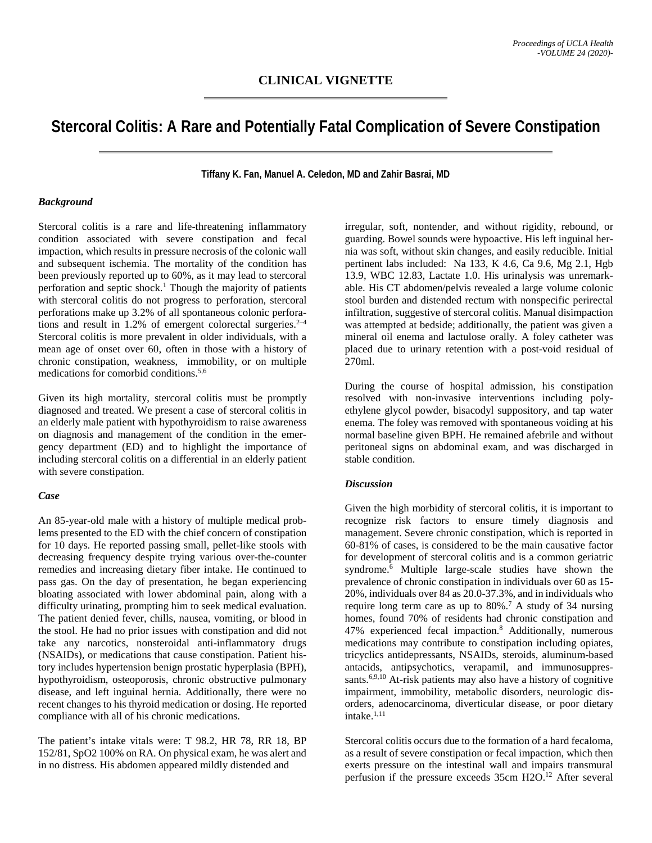# **Stercoral Colitis: A Rare and Potentially Fatal Complication of Severe Constipation**

**Tiffany K. Fan, Manuel A. Celedon, MD and Zahir Basrai, MD**

### *Background*

Stercoral colitis is a rare and life-threatening inflammatory condition associated with severe constipation and fecal impaction, which results in pressure necrosis of the colonic wall and subsequent ischemia. The mortality of the condition has been previously reported up to 60%, as it may lead to stercoral perforation and septic shock.<sup>1</sup> Though the majority of patients with stercoral colitis do not progress to perforation, stercoral perforations make up 3.2% of all spontaneous colonic perforations and result in 1.2% of emergent colorectal surgeries. $2-4$ Stercoral colitis is more prevalent in older individuals, with a mean age of onset over 60, often in those with a history of chronic constipation, weakness, immobility, or on multiple medications for comorbid conditions.5,6

Given its high mortality, stercoral colitis must be promptly diagnosed and treated. We present a case of stercoral colitis in an elderly male patient with hypothyroidism to raise awareness on diagnosis and management of the condition in the emergency department (ED) and to highlight the importance of including stercoral colitis on a differential in an elderly patient with severe constipation.

### *Case*

An 85-year-old male with a history of multiple medical problems presented to the ED with the chief concern of constipation for 10 days. He reported passing small, pellet-like stools with decreasing frequency despite trying various over-the-counter remedies and increasing dietary fiber intake. He continued to pass gas. On the day of presentation, he began experiencing bloating associated with lower abdominal pain, along with a difficulty urinating, prompting him to seek medical evaluation. The patient denied fever, chills, nausea, vomiting, or blood in the stool. He had no prior issues with constipation and did not take any narcotics, nonsteroidal anti-inflammatory drugs (NSAIDs), or medications that cause constipation. Patient history includes hypertension benign prostatic hyperplasia (BPH), hypothyroidism, osteoporosis, chronic obstructive pulmonary disease, and left inguinal hernia. Additionally, there were no recent changes to his thyroid medication or dosing. He reported compliance with all of his chronic medications.

The patient's intake vitals were: T 98.2, HR 78, RR 18, BP 152/81, SpO2 100% on RA. On physical exam, he was alert and in no distress. His abdomen appeared mildly distended and

irregular, soft, nontender, and without rigidity, rebound, or guarding. Bowel sounds were hypoactive. His left inguinal hernia was soft, without skin changes, and easily reducible. Initial pertinent labs included: Na 133, K 4.6, Ca 9.6, Mg 2.1, Hgb 13.9, WBC 12.83, Lactate 1.0. His urinalysis was unremarkable. His CT abdomen/pelvis revealed a large volume colonic stool burden and distended rectum with nonspecific perirectal infiltration, suggestive of stercoral colitis. Manual disimpaction was attempted at bedside; additionally, the patient was given a mineral oil enema and lactulose orally. A foley catheter was placed due to urinary retention with a post-void residual of 270ml.

During the course of hospital admission, his constipation resolved with non-invasive interventions including polyethylene glycol powder, bisacodyl suppository, and tap water enema. The foley was removed with spontaneous voiding at his normal baseline given BPH. He remained afebrile and without peritoneal signs on abdominal exam, and was discharged in stable condition.

# *Discussion*

Given the high morbidity of stercoral colitis, it is important to recognize risk factors to ensure timely diagnosis and management. Severe chronic constipation, which is reported in 60-81% of cases, is considered to be the main causative factor for development of stercoral colitis and is a common geriatric syndrome. $6$  Multiple large-scale studies have shown the prevalence of chronic constipation in individuals over 60 as 15- 20%, individuals over 84 as 20.0-37.3%, and in individuals who require long term care as up to  $80\%$ .<sup>7</sup> A study of 34 nursing homes, found 70% of residents had chronic constipation and 47% experienced fecal impaction.8 Additionally, numerous medications may contribute to constipation including opiates, tricyclics antidepressants, NSAIDs, steroids, aluminum-based antacids, antipsychotics, verapamil, and immunosuppressants.<sup>6,9,10</sup> At-risk patients may also have a history of cognitive impairment, immobility, metabolic disorders, neurologic disorders, adenocarcinoma, diverticular disease, or poor dietary intake.1,11

Stercoral colitis occurs due to the formation of a hard fecaloma, as a result of severe constipation or fecal impaction, which then exerts pressure on the intestinal wall and impairs transmural perfusion if the pressure exceeds 35cm H2O.<sup>12</sup> After several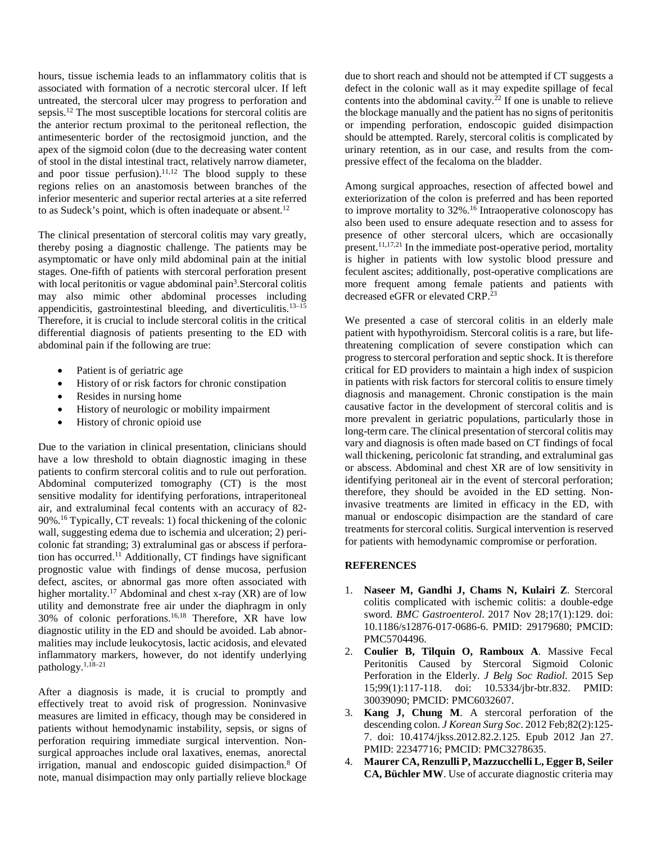hours, tissue ischemia leads to an inflammatory colitis that is associated with formation of a necrotic stercoral ulcer. If left untreated, the stercoral ulcer may progress to perforation and sepsis.12 The most susceptible locations for stercoral colitis are the anterior rectum proximal to the peritoneal reflection, the antimesenteric border of the rectosigmoid junction, and the apex of the sigmoid colon (due to the decreasing water content of stool in the distal intestinal tract, relatively narrow diameter, and poor tissue perfusion).<sup>11,12</sup> The blood supply to these regions relies on an anastomosis between branches of the inferior mesenteric and superior rectal arteries at a site referred to as Sudeck's point, which is often inadequate or absent.<sup>12</sup>

The clinical presentation of stercoral colitis may vary greatly, thereby posing a diagnostic challenge. The patients may be asymptomatic or have only mild abdominal pain at the initial stages. One-fifth of patients with stercoral perforation present with local peritonitis or vague abdominal pain<sup>3</sup>. Stercoral colitis may also mimic other abdominal processes including appendicitis, gastrointestinal bleeding, and diverticulitis.<sup>13–15</sup> Therefore, it is crucial to include stercoral colitis in the critical differential diagnosis of patients presenting to the ED with abdominal pain if the following are true:

- Patient is of geriatric age
- History of or risk factors for chronic constipation
- Resides in nursing home
- History of neurologic or mobility impairment
- History of chronic opioid use

Due to the variation in clinical presentation, clinicians should have a low threshold to obtain diagnostic imaging in these patients to confirm stercoral colitis and to rule out perforation. Abdominal computerized tomography (CT) is the most sensitive modality for identifying perforations, intraperitoneal air, and extraluminal fecal contents with an accuracy of 82- 90%.16 Typically, CT reveals: 1) focal thickening of the colonic wall, suggesting edema due to ischemia and ulceration; 2) pericolonic fat stranding; 3) extraluminal gas or abscess if perforation has occurred.<sup>11</sup> Additionally, CT findings have significant prognostic value with findings of dense mucosa, perfusion defect, ascites, or abnormal gas more often associated with higher mortality.<sup>17</sup> Abdominal and chest x-ray  $(XR)$  are of low utility and demonstrate free air under the diaphragm in only 30% of colonic perforations.<sup>16,18</sup> Therefore, XR have low diagnostic utility in the ED and should be avoided. Lab abnormalities may include leukocytosis, lactic acidosis, and elevated inflammatory markers, however, do not identify underlying pathology.1,18–21

After a diagnosis is made, it is crucial to promptly and effectively treat to avoid risk of progression. Noninvasive measures are limited in efficacy, though may be considered in patients without hemodynamic instability, sepsis, or signs of perforation requiring immediate surgical intervention. Nonsurgical approaches include oral laxatives, enemas, anorectal irrigation, manual and endoscopic guided disimpaction.8 Of note, manual disimpaction may only partially relieve blockage

due to short reach and should not be attempted if CT suggests a defect in the colonic wall as it may expedite spillage of fecal contents into the abdominal cavity.<sup>22</sup> If one is unable to relieve the blockage manually and the patient has no signs of peritonitis or impending perforation, endoscopic guided disimpaction should be attempted. Rarely, stercoral colitis is complicated by urinary retention, as in our case, and results from the compressive effect of the fecaloma on the bladder.

Among surgical approaches, resection of affected bowel and exteriorization of the colon is preferred and has been reported to improve mortality to  $32\%$ .<sup>16</sup> Intraoperative colonoscopy has also been used to ensure adequate resection and to assess for presence of other stercoral ulcers, which are occasionally present.<sup>11,17,21</sup> In the immediate post-operative period, mortality is higher in patients with low systolic blood pressure and feculent ascites; additionally, post-operative complications are more frequent among female patients and patients with decreased eGFR or elevated CRP.23

We presented a case of stercoral colitis in an elderly male patient with hypothyroidism. Stercoral colitis is a rare, but lifethreatening complication of severe constipation which can progress to stercoral perforation and septic shock. It is therefore critical for ED providers to maintain a high index of suspicion in patients with risk factors for stercoral colitis to ensure timely diagnosis and management. Chronic constipation is the main causative factor in the development of stercoral colitis and is more prevalent in geriatric populations, particularly those in long-term care. The clinical presentation of stercoral colitis may vary and diagnosis is often made based on CT findings of focal wall thickening, pericolonic fat stranding, and extraluminal gas or abscess. Abdominal and chest XR are of low sensitivity in identifying peritoneal air in the event of stercoral perforation; therefore, they should be avoided in the ED setting. Noninvasive treatments are limited in efficacy in the ED, with manual or endoscopic disimpaction are the standard of care treatments for stercoral colitis. Surgical intervention is reserved for patients with hemodynamic compromise or perforation.

# **REFERENCES**

- 1. **Naseer M, Gandhi J, Chams N, Kulairi Z**. Stercoral colitis complicated with ischemic colitis: a double-edge sword. *BMC Gastroenterol*. 2017 Nov 28;17(1):129. doi: 10.1186/s12876-017-0686-6. PMID: 29179680; PMCID: PMC5704496.
- 2. **Coulier B, Tilquin O, Ramboux A**. Massive Fecal Peritonitis Caused by Stercoral Sigmoid Colonic Perforation in the Elderly. *J Belg Soc Radiol*. 2015 Sep 15;99(1):117-118. doi: 10.5334/jbr-btr.832. PMID: 30039090; PMCID: PMC6032607.
- 3. **Kang J, Chung M**. A stercoral perforation of the descending colon. *J Korean Surg Soc*. 2012 Feb;82(2):125- 7. doi: 10.4174/jkss.2012.82.2.125. Epub 2012 Jan 27. PMID: 22347716; PMCID: PMC3278635.
- 4. **Maurer CA, Renzulli P, Mazzucchelli L, Egger B, Seiler CA, Büchler MW**. Use of accurate diagnostic criteria may